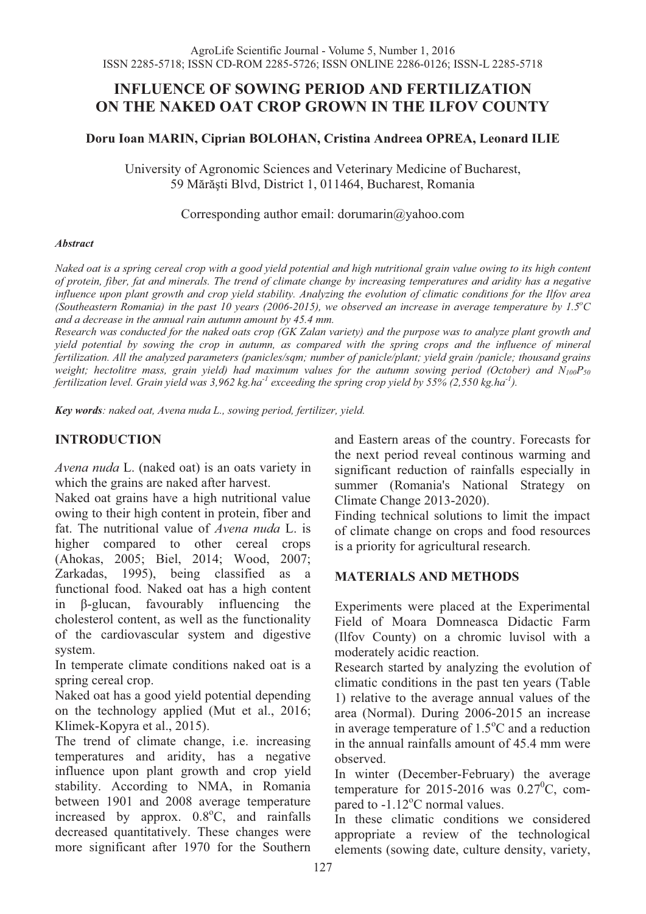# **INFLUENCE OF SOWING PERIOD AND FERTILIZATION ON THE NAKED OAT CROP GROWN IN THE ILFOV COUNTY**

#### **Doru Ioan MARIN, Ciprian BOLOHAN, Cristina Andreea OPREA, Leonard ILIE**

University of Agronomic Sciences and Veterinary Medicine of Bucharest, 59 Mărăşti Blvd, District 1, 011464, Bucharest, Romania

#### Corresponding author email: dorumarin@yahoo.com

#### *Abstract*

*Naked oat is a spring cereal crop with a good yield potential and high nutritional grain value owing to its high content of protein, fiber, fat and minerals. The trend of climate change by increasing temperatures and aridity has a negative influence upon plant growth and crop yield stability. Analyzing the evolution of climatic conditions for the Ilfov area (Southeastern Romania) in the past 10 years (2006-2015), we observed an increase in average temperature by 1.5* $^{\circ}$ *C and a decrease in the annual rain autumn amount by 45.4 mm.* 

*Research was conducted for the naked oats crop (GK Zalan variety) and the purpose was to analyze plant growth and yield potential by sowing the crop in autumn, as compared with the spring crops and the influence of mineral fertilization. All the analyzed parameters (panicles/sqm; number of panicle/plant; yield grain /panicle; thousand grains weight; hectolitre mass, grain yield) had maximum values for the autumn sowing period (October) and N100P50 fertilization level. Grain yield was 3,962 kg.ha-1 exceeding the spring crop yield by 55% (2,550 kg.ha-1).* 

*Key words: naked oat, Avena nuda L., sowing period, fertilizer, yield.*

# **INTRODUCTION**

*Avena nuda* L. (naked oat) is an oats variety in which the grains are naked after harvest.

Naked oat grains have a high nutritional value owing to their high content in protein, fiber and fat. The nutritional value of *Avena nuda* L. is higher compared to other cereal crops (Ahokas, 2005; Biel, 2014; Wood, 2007; Zarkadas, 1995), being classified as a functional food. Naked oat has a high content in β-glucan, favourably influencing the cholesterol content, as well as the functionality of the cardiovascular system and digestive system.

In temperate climate conditions naked oat is a spring cereal crop.

Naked oat has a good yield potential depending on the technology applied (Mut et al., 2016; Klimek-Kopyra et al., 2015).

The trend of climate change, i.e. increasing temperatures and aridity, has a negative influence upon plant growth and crop yield stability. According to NMA, in Romania between 1901 and 2008 average temperature increased by approx.  $0.8^{\circ}$ C, and rainfalls decreased quantitatively. These changes were more significant after 1970 for the Southern

and Eastern areas of the country. Forecasts for the next period reveal continous warming and significant reduction of rainfalls especially in summer (Romania's National Strategy on Climate Change 2013-2020).

Finding technical solutions to limit the impact of climate change on crops and food resources is a priority for agricultural research.

#### **MATERIALS AND METHODS**

Experiments were placed at the Experimental Field of Moara Domneasca Didactic Farm (Ilfov County) on a chromic luvisol with a moderately acidic reaction.

Research started by analyzing the evolution of climatic conditions in the past ten years (Table 1) relative to the average annual values of the area (Normal). During 2006-2015 an increase in average temperature of  $1.5^{\circ}$ C and a reduction in the annual rainfalls amount of 45.4 mm were observed.

In winter (December-February) the average temperature for 2015-2016 was  $0.27^{\circ}$ C, compared to -1.12°C normal values.

In these climatic conditions we considered appropriate a review of the technological elements (sowing date, culture density, variety,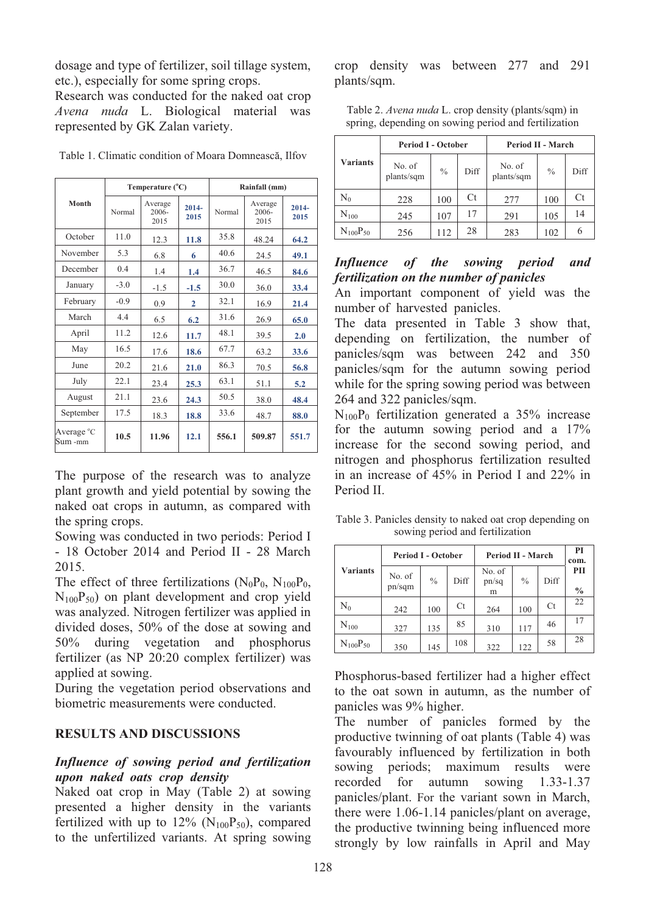dosage and type of fertilizer, soil tillage system, etc.), especially for some spring crops.

Research was conducted for the naked oat crop *Avena nuda* L. Biological material was represented by GK Zalan variety.

|                       |        | Temperature (°C)                                       |              | Rainfall (mm)            |                  |       |  |
|-----------------------|--------|--------------------------------------------------------|--------------|--------------------------|------------------|-------|--|
| Month                 | Normal | Average<br>$2014 -$<br>Normal<br>2006-<br>2015<br>2015 |              | Average<br>2006-<br>2015 | $2014 -$<br>2015 |       |  |
| October               | 11.0   | 12.3                                                   | 11.8         | 35.8                     | 48.24            | 64.2  |  |
| November              | 5.3    | 6.8                                                    | 6            | 40.6                     | 24.5             | 49.1  |  |
| December              | 04     | 1.4                                                    | 1.4          | 36.7                     | 46.5             | 84.6  |  |
| January               | $-3.0$ | $-1.5$                                                 | $-1.5$       | 30.0                     | 36.0             | 33.4  |  |
| February              | $-0.9$ | 0.9                                                    | $\mathbf{2}$ | 32.1                     | 16.9             | 21.4  |  |
| March                 | 4.4    | 6.5                                                    | 6.2          | 31.6                     | 26.9             | 65.0  |  |
| April                 | 11.2   | 12.6                                                   | 11.7         | 48.1                     | 39.5             | 2.0   |  |
| May                   | 16.5   | 17.6                                                   | 18.6         | 67.7                     | 63.2             | 33.6  |  |
| June                  | 20.2   | 21.6                                                   | 21.0         | 86.3                     | 70.5             | 56.8  |  |
| July                  | 22.1   | 23.4                                                   | 25.3         | 63.1                     | 51.1             | 5.2   |  |
| August                | 21.1   | 23.6                                                   | 24.3         | 50.5                     | 38.0             | 48.4  |  |
| September             | 17.5   | 18.3                                                   | 18.8         | 33.6                     | 48.7             | 88.0  |  |
| Average °C<br>Sum -mm | 10.5   | 11.96                                                  | 12.1         | 556.1                    | 509.87           | 551.7 |  |

Table 1. Climatic condition of Moara Domnească, Ilfov

The purpose of the research was to analyze plant growth and yield potential by sowing the naked oat crops in autumn, as compared with the spring crops.

Sowing was conducted in two periods: Period I - 18 October 2014 and Period II - 28 March 2015.

The effect of three fertilizations  $(N_0P_0, N_{100}P_0,$  $N_{100}P_{50}$ ) on plant development and crop yield was analyzed. Nitrogen fertilizer was applied in divided doses, 50% of the dose at sowing and 50% during vegetation and phosphorus fertilizer (as NP 20:20 complex fertilizer) was applied at sowing.

During the vegetation period observations and biometric measurements were conducted.

# **RESULTS AND DISCUSSIONS**

### *Influence of sowing period and fertilization upon naked oats crop density*

Naked oat crop in May (Table 2) at sowing presented a higher density in the variants fertilized with up to  $12\%$  (N<sub>100</sub>P<sub>50</sub>), compared to the unfertilized variants. At spring sowing

crop density was between 277 and 291 plants/sqm.

Table 2. *Avena nuda* L. crop density (plants/sqm) in spring, depending on sowing period and fertilization

|                    | <b>Period I - October</b>             |           |      | Period II - March                     |     |      |  |
|--------------------|---------------------------------------|-----------|------|---------------------------------------|-----|------|--|
| <b>Variants</b>    | No. of<br>$\frac{0}{0}$<br>plants/sqm |           | Diff | No. of<br>$\frac{0}{0}$<br>plants/sqm |     | Diff |  |
| $\rm N_0$          | 228                                   | Ct<br>100 |      | 277                                   | 100 | Ct   |  |
| $\mathrm{N_{100}}$ | 245                                   | 107       | 17   | 291                                   | 105 | 14   |  |
| $N_{100}P_{50}$    | 256                                   | 112       | 28   | 283                                   | 102 | 6    |  |

## *Influence of the sowing period and fertilization on the number of panicles*

An important component of yield was the number of harvested panicles.

The data presented in Table 3 show that, depending on fertilization, the number of panicles/sqm was between 242 and 350 panicles/sqm for the autumn sowing period while for the spring sowing period was between 264 and 322 panicles/sqm.

 $N_{100}P_0$  fertilization generated a 35% increase for the autumn sowing period and a 17% increase for the second sowing period, and nitrogen and phosphorus fertilization resulted in an increase of 45% in Period I and 22% in Period II.

Table 3. Panicles density to naked oat crop depending on sowing period and fertilization

|                    |                  | <b>Period I - October</b> |      |                      | Period II - March |      |                      |  |
|--------------------|------------------|---------------------------|------|----------------------|-------------------|------|----------------------|--|
| <b>Variants</b>    | No. of<br>pn/sqm | $\frac{0}{0}$             | Diff | No. of<br>pn/sq<br>m | $\frac{0}{0}$     | Diff | PII<br>$\frac{0}{0}$ |  |
| $\rm N_0$          | 242              | 100                       | Ct   | 264                  | 100               | Ct   | 22                   |  |
| $\mathrm{N_{100}}$ | 327              | 135                       | 85   | 310                  | 117               | 46   | 17                   |  |
| $N_{100}P_{50}$    | 350              | 145                       | 108  | 322                  | 122               | 58   | 28                   |  |

Phosphorus-based fertilizer had a higher effect to the oat sown in autumn, as the number of panicles was 9% higher.

The number of panicles formed by the productive twinning of oat plants (Table 4) was favourably influenced by fertilization in both sowing periods; maximum results were recorded for autumn sowing 1.33-1.37 panicles/plant. For the variant sown in March, there were 1.06-1.14 panicles/plant on average, the productive twinning being influenced more strongly by low rainfalls in April and May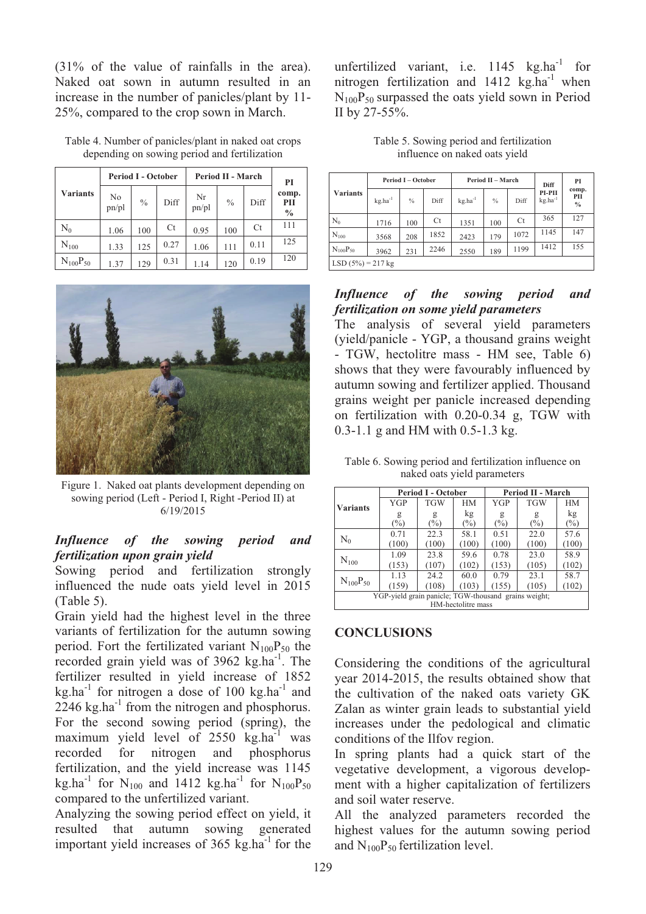(31% of the value of rainfalls in the area). Naked oat sown in autumn resulted in an increase in the number of panicles/plant by 11- 25%, compared to the crop sown in March.

|                 |             | <b>Period I - October</b> |      | Period II - March | PI            |      |                               |
|-----------------|-------------|---------------------------|------|-------------------|---------------|------|-------------------------------|
| <b>Variants</b> | No<br>pn/pl | $\frac{0}{0}$             | Diff | Nr<br>pn/pl       | $\frac{0}{0}$ | Diff | comp.<br>PII<br>$\frac{0}{0}$ |
| $\mathrm{N}_0$  | 1.06        | 100                       | Ct   | 0.95              | 100           | Ct   | 111                           |
| $N_{100}$       | 1.33        | 125                       | 0.27 | 1.06              | 111           | 0.11 | 125                           |
| $N_{100}P_{50}$ | 1.37        | 129                       | 0.31 | 1.14              | 120           | 0.19 | 120                           |

Table 4. Number of panicles/plant in naked oat crops depending on sowing period and fertilization



Figure 1. Naked oat plants development depending on sowing period (Left - Period I, Right -Period II) at 6/19/2015

# *Influence of the sowing period and fertilization upon grain yield*

Sowing period and fertilization strongly influenced the nude oats yield level in 2015 (Table 5).

Grain yield had the highest level in the three variants of fertilization for the autumn sowing period. Fort the fertilizated variant  $N_{100}P_{50}$  the recorded grain yield was of 3962 kg.ha<sup>-1</sup>. The fertilizer resulted in yield increase of 1852  $kg.ha^{-1}$  for nitrogen a dose of 100 kg.ha<sup>-1</sup> and  $2246 \text{ kg.ha}^{-1}$  from the nitrogen and phosphorus. For the second sowing period (spring), the maximum yield level of  $2550 \text{ kg.ha}^{-1}$  was recorded for nitrogen and phosphorus fertilization, and the yield increase was 1145 kg.ha<sup>-1</sup> for N<sub>100</sub> and 1412 kg.ha<sup>-1</sup> for N<sub>100</sub>P<sub>50</sub> compared to the unfertilized variant.

Analyzing the sowing period effect on yield, it resulted that autumn sowing generated important yield increases of  $365 \text{ kg.ha}^{-1}$  for the

unfertilized variant, i.e.  $1145 \text{ kg.ha}^{-1}$  for nitrogen fertilization and  $1412 \text{ kg.ha}^{-1}$  when  $N_{100}P_{50}$  surpassed the oats yield sown in Period II by 27-55%.

Table 5. Sowing period and fertilization influence on naked oats yield

|                      |              | <b>Period I - October</b> |      |              | Period II - March | Diff | PI                            |                      |
|----------------------|--------------|---------------------------|------|--------------|-------------------|------|-------------------------------|----------------------|
| <b>Variants</b>      | $kg.ha^{-1}$ | $\frac{0}{0}$             | Diff | $kg.ha^{-1}$ | $\%$              | Diff | PI-PII<br>kg.ha <sup>-1</sup> | comp.<br>PII<br>$\%$ |
| $N_0$                | 1716         | 100                       | Ct   | 1351         | 100               | Ct   | 365                           | 127                  |
| $N_{100}$            | 3568         | 208                       | 1852 | 2423         | 179               | 1072 | 1145                          | 147                  |
| $N_{100}P_{50}$      | 3962         | 231                       | 2246 | 2550         | 189               | 1199 | 1412                          | 155                  |
| LSD $(5\%) = 217$ kg |              |                           |      |              |                   |      |                               |                      |

# *Influence of the sowing period and fertilization on some yield parameters*

The analysis of several yield parameters (yield/panicle - YGP, a thousand grains weight - TGW, hectolitre mass - HM see, Table 6) shows that they were favourably influenced by autumn sowing and fertilizer applied. Thousand grains weight per panicle increased depending on fertilization with 0.20-0.34 g, TGW with 0.3-1.1 g and HM with 0.5-1.3 kg.

Table 6. Sowing period and fertilization influence on naked oats yield parameters

| <b>Variants</b>                                      |            | <b>Period I - October</b> |                    | Period II - March |            |        |  |  |
|------------------------------------------------------|------------|---------------------------|--------------------|-------------------|------------|--------|--|--|
|                                                      | <b>YGP</b> | <b>TGW</b>                | HМ                 | YGP               | <b>TGW</b> | HM     |  |  |
|                                                      | g          | g                         | kg                 | g                 | g          | kg     |  |  |
|                                                      | $(\%)$     | $(\%)$                    | $\binom{0}{0}$     | $(\%)$            | $(\%)$     | $(\%)$ |  |  |
|                                                      | 0.71       | 22.3                      | 58.1               | 0.51              | 22.0       | 57.6   |  |  |
| $\rm N_0$                                            | (100)      | (100)                     | (100)              | (100)             | (100)      | (100)  |  |  |
| $N_{100}$                                            | 1.09       | 23.8                      | 59.6               | 0.78              | 23.0       | 58.9   |  |  |
|                                                      | (153)      | (107)                     | (102)              | (153)             | (105)      | (102)  |  |  |
|                                                      | 1.13       | 24.2                      | 60.0               | 0.79              | 23.1       | 58.7   |  |  |
| $N_{100}P_{50}$                                      | (159)      | (108)                     | (103)              | (155)             | (105)      | (102)  |  |  |
| YGP-yield grain panicle; TGW-thousand grains weight; |            |                           |                    |                   |            |        |  |  |
|                                                      |            |                           | HM-hectolitre mass |                   |            |        |  |  |

# **CONCLUSIONS**

Considering the conditions of the agricultural year 2014-2015, the results obtained show that the cultivation of the naked oats variety GK Zalan as winter grain leads to substantial yield increases under the pedological and climatic conditions of the Ilfov region.

In spring plants had a quick start of the vegetative development, a vigorous development with a higher capitalization of fertilizers and soil water reserve.

All the analyzed parameters recorded the highest values for the autumn sowing period and  $N_{100}P_{50}$  fertilization level.